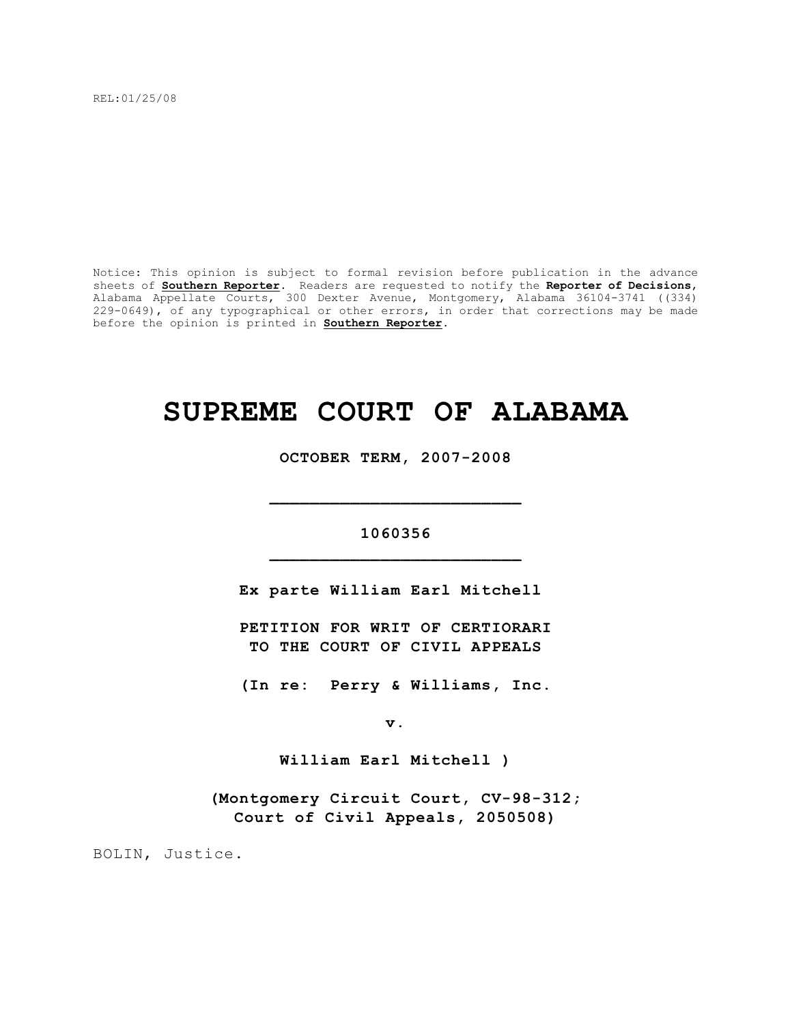REL:01/25/08

Notice: This opinion is subject to formal revision before publication in the advance sheets of **Southern Reporter**. Readers are requested to notify the **Reporter of Decisions**, Alabama Appellate Courts, 300 Dexter Avenue, Montgomery, Alabama 36104-3741 ((334) 229-0649), of any typographical or other errors, in order that corrections may be made before the opinion is printed in **Southern Reporter**.

# **SUPREME COURT OF ALABAMA**

**OCTOBER TERM, 2007-2008**

# **1060356 \_\_\_\_\_\_\_\_\_\_\_\_\_\_\_\_\_\_\_\_\_\_\_\_\_**

**\_\_\_\_\_\_\_\_\_\_\_\_\_\_\_\_\_\_\_\_\_\_\_\_\_**

**Ex parte William Earl Mitchell** 

**PETITION FOR WRIT OF CERTIORARI TO THE COURT OF CIVIL APPEALS**

**(In re: Perry & Williams, Inc.**

**v.**

**William Earl Mitchell )**

**(Montgomery Circuit Court, CV-98-312; Court of Civil Appeals, 2050508)**

BOLIN, Justice.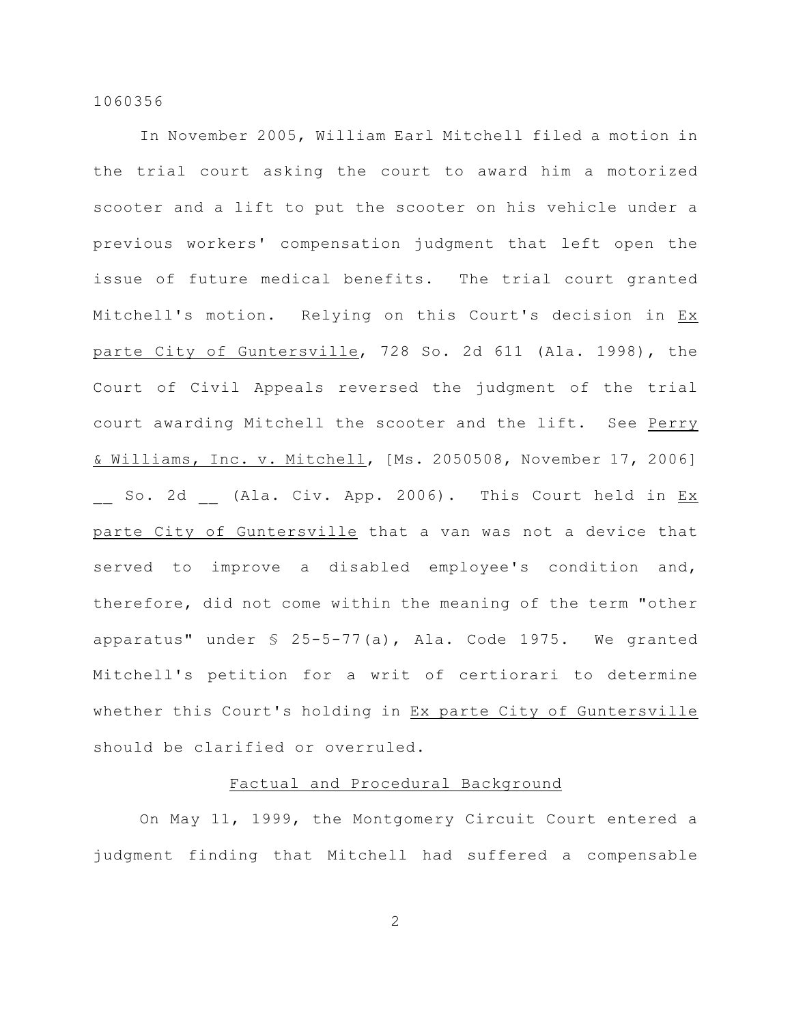In November 2005, William Earl Mitchell filed a motion in the trial court asking the court to award him a motorized scooter and a lift to put the scooter on his vehicle under a previous workers' compensation judgment that left open the issue of future medical benefits. The trial court granted Mitchell's motion. Relying on this Court's decision in Ex parte City of Guntersville, 728 So. 2d 611 (Ala. 1998), the Court of Civil Appeals reversed the judgment of the trial court awarding Mitchell the scooter and the lift. See Perry & Williams, Inc. v. Mitchell, [Ms. 2050508, November 17, 2006] So. 2d (Ala. Civ. App. 2006). This Court held in <u>Ex</u> parte City of Guntersville that a van was not a device that served to improve a disabled employee's condition and, therefore, did not come within the meaning of the term "other apparatus" under § 25-5-77(a), Ala. Code 1975. We granted Mitchell's petition for a writ of certiorari to determine whether this Court's holding in Ex parte City of Guntersville should be clarified or overruled.

## Factual and Procedural Background

On May 11, 1999, the Montgomery Circuit Court entered a judgment finding that Mitchell had suffered a compensable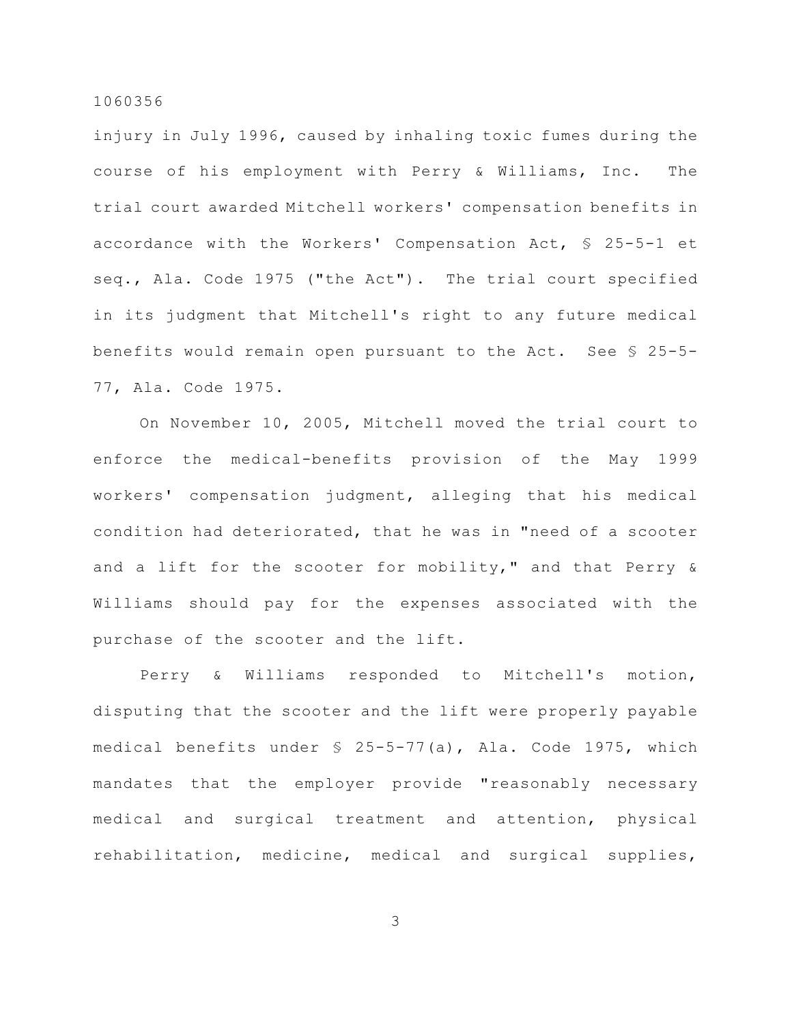injury in July 1996, caused by inhaling toxic fumes during the course of his employment with Perry & Williams, Inc. The trial court awarded Mitchell workers' compensation benefits in accordance with the Workers' Compensation Act, § 25-5-1 et seq., Ala. Code 1975 ("the Act"). The trial court specified in its judgment that Mitchell's right to any future medical benefits would remain open pursuant to the Act. See § 25-5- 77, Ala. Code 1975.

On November 10, 2005, Mitchell moved the trial court to enforce the medical-benefits provision of the May 1999 workers' compensation judgment, alleging that his medical condition had deteriorated, that he was in "need of a scooter and a lift for the scooter for mobility," and that Perry & Williams should pay for the expenses associated with the purchase of the scooter and the lift.

Perry & Williams responded to Mitchell's motion, disputing that the scooter and the lift were properly payable medical benefits under § 25-5-77(a), Ala. Code 1975, which mandates that the employer provide "reasonably necessary medical and surgical treatment and attention, physical rehabilitation, medicine, medical and surgical supplies,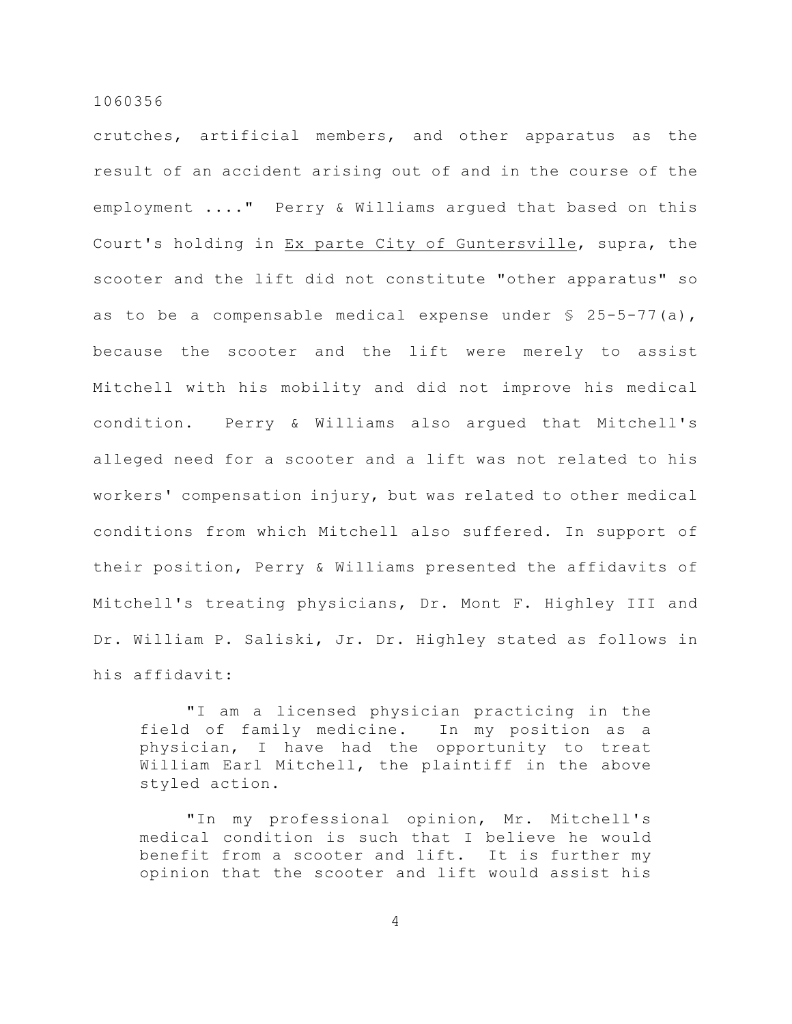crutches, artificial members, and other apparatus as the result of an accident arising out of and in the course of the employment ...." Perry & Williams argued that based on this Court's holding in Ex parte City of Guntersville, supra, the scooter and the lift did not constitute "other apparatus" so as to be a compensable medical expense under  $\S$  25-5-77(a), because the scooter and the lift were merely to assist Mitchell with his mobility and did not improve his medical condition. Perry & Williams also argued that Mitchell's alleged need for a scooter and a lift was not related to his workers' compensation injury, but was related to other medical conditions from which Mitchell also suffered. In support of their position, Perry & Williams presented the affidavits of Mitchell's treating physicians, Dr. Mont F. Highley III and Dr. William P. Saliski, Jr. Dr. Highley stated as follows in his affidavit:

"I am a licensed physician practicing in the field of family medicine. In my position as a physician, I have had the opportunity to treat William Earl Mitchell, the plaintiff in the above styled action.

"In my professional opinion, Mr. Mitchell's medical condition is such that I believe he would benefit from a scooter and lift. It is further my opinion that the scooter and lift would assist his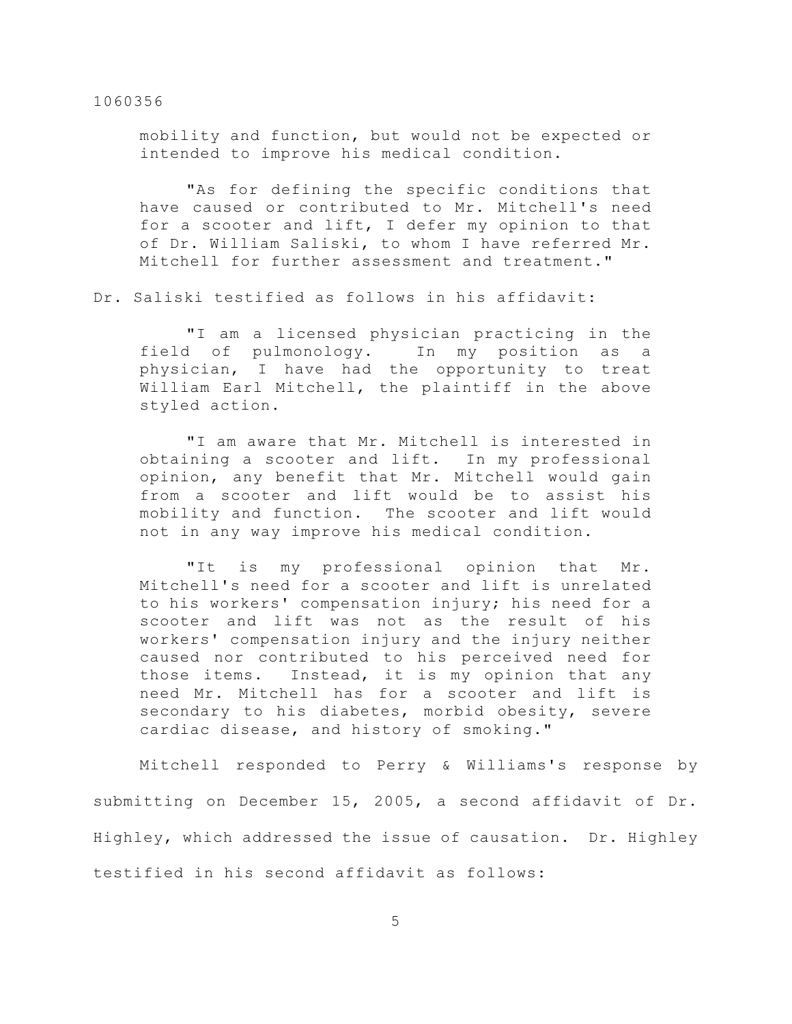mobility and function, but would not be expected or intended to improve his medical condition.

"As for defining the specific conditions that have caused or contributed to Mr. Mitchell's need for a scooter and lift, I defer my opinion to that of Dr. William Saliski, to whom I have referred Mr. Mitchell for further assessment and treatment."

Dr. Saliski testified as follows in his affidavit:

"I am a licensed physician practicing in the field of pulmonology. In my position as a physician, I have had the opportunity to treat William Earl Mitchell, the plaintiff in the above styled action.

"I am aware that Mr. Mitchell is interested in obtaining a scooter and lift. In my professional opinion, any benefit that Mr. Mitchell would gain from a scooter and lift would be to assist his mobility and function. The scooter and lift would not in any way improve his medical condition.

"It is my professional opinion that Mr. Mitchell's need for a scooter and lift is unrelated to his workers' compensation injury; his need for a scooter and lift was not as the result of his workers' compensation injury and the injury neither caused nor contributed to his perceived need for those items. Instead, it is my opinion that any need Mr. Mitchell has for a scooter and lift is secondary to his diabetes, morbid obesity, severe cardiac disease, and history of smoking."

Mitchell responded to Perry & Williams's response by submitting on December 15, 2005, a second affidavit of Dr. Highley, which addressed the issue of causation. Dr. Highley testified in his second affidavit as follows: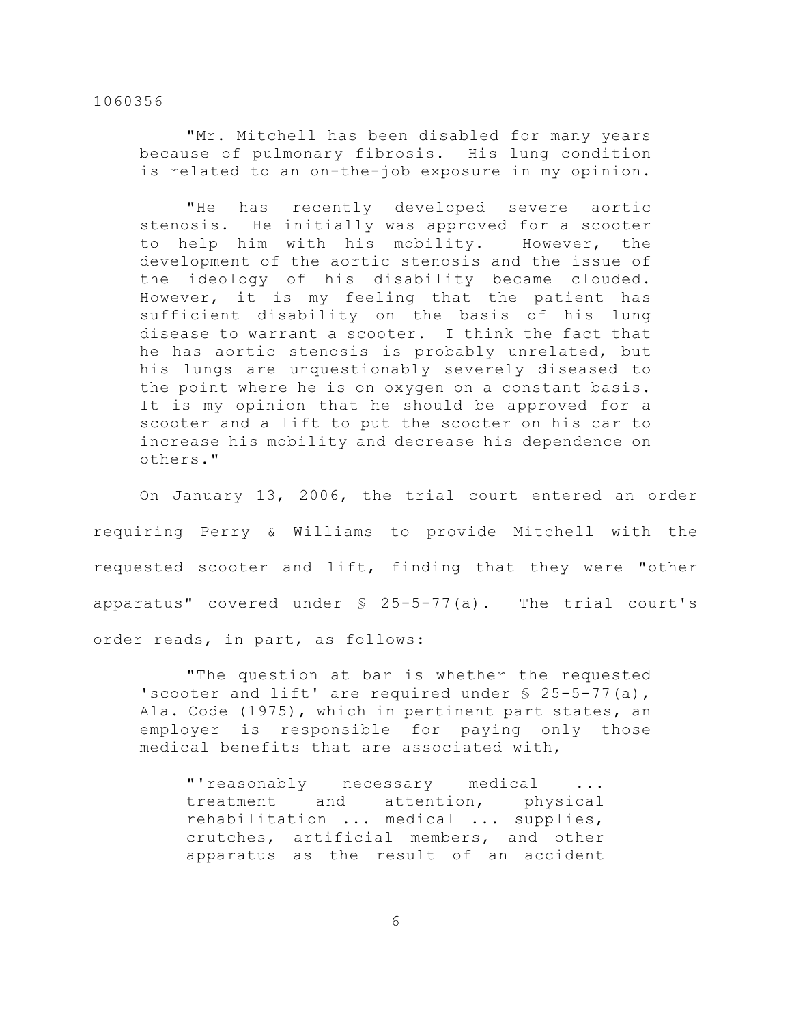"Mr. Mitchell has been disabled for many years because of pulmonary fibrosis. His lung condition is related to an on-the-job exposure in my opinion.

"He has recently developed severe aortic stenosis. He initially was approved for a scooter to help him with his mobility. However, the development of the aortic stenosis and the issue of the ideology of his disability became clouded. However, it is my feeling that the patient has sufficient disability on the basis of his lung disease to warrant a scooter. I think the fact that he has aortic stenosis is probably unrelated, but his lungs are unquestionably severely diseased to the point where he is on oxygen on a constant basis. It is my opinion that he should be approved for a scooter and a lift to put the scooter on his car to increase his mobility and decrease his dependence on others."

On January 13, 2006, the trial court entered an order requiring Perry & Williams to provide Mitchell with the requested scooter and lift, finding that they were "other apparatus" covered under § 25-5-77(a). The trial court's order reads, in part, as follows:

"The question at bar is whether the requested 'scooter and lift' are required under  $\S$  25-5-77(a), Ala. Code (1975), which in pertinent part states, an employer is responsible for paying only those medical benefits that are associated with,

"'reasonably necessary medical ... treatment and attention, physical rehabilitation ... medical ... supplies, crutches, artificial members, and other apparatus as the result of an accident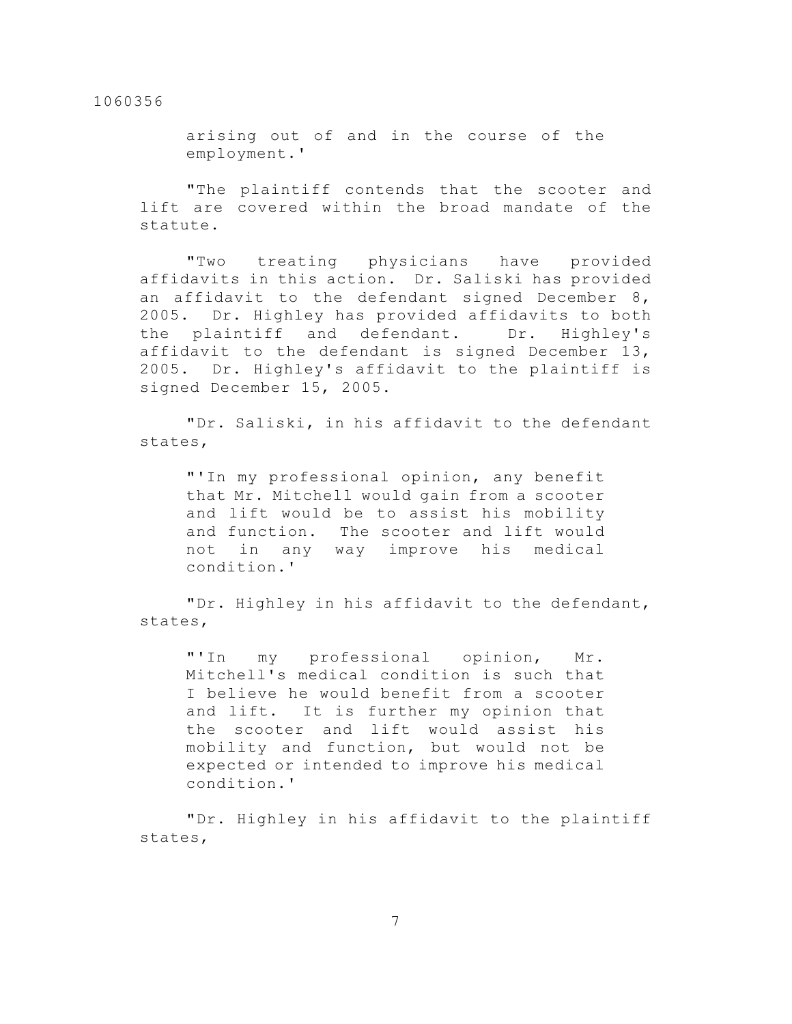arising out of and in the course of the employment.'

"The plaintiff contends that the scooter and lift are covered within the broad mandate of the statute.

"Two treating physicians have provided affidavits in this action. Dr. Saliski has provided an affidavit to the defendant signed December 8, 2005. Dr. Highley has provided affidavits to both the plaintiff and defendant. Dr. Highley's affidavit to the defendant is signed December 13, 2005. Dr. Highley's affidavit to the plaintiff is signed December 15, 2005.

"Dr. Saliski, in his affidavit to the defendant states,

"'In my professional opinion, any benefit that Mr. Mitchell would gain from a scooter and lift would be to assist his mobility and function. The scooter and lift would not in any way improve his medical condition.'

"Dr. Highley in his affidavit to the defendant, states,

"'In my professional opinion, Mr. Mitchell's medical condition is such that I believe he would benefit from a scooter and lift. It is further my opinion that the scooter and lift would assist his mobility and function, but would not be expected or intended to improve his medical condition.'

"Dr. Highley in his affidavit to the plaintiff states,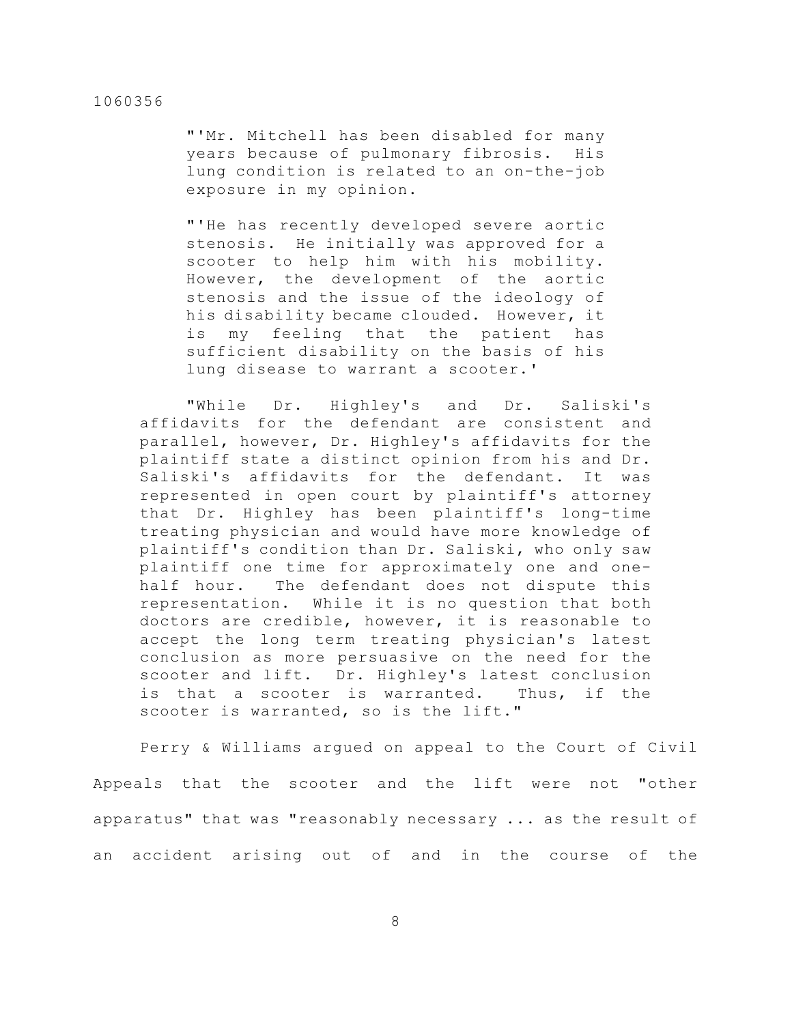"'Mr. Mitchell has been disabled for many years because of pulmonary fibrosis. His lung condition is related to an on-the-job exposure in my opinion.

"'He has recently developed severe aortic stenosis. He initially was approved for a scooter to help him with his mobility. However, the development of the aortic stenosis and the issue of the ideology of his disability became clouded. However, it is my feeling that the patient has sufficient disability on the basis of his lung disease to warrant a scooter.'

"While Dr. Highley's and Dr. Saliski's affidavits for the defendant are consistent and parallel, however, Dr. Highley's affidavits for the plaintiff state a distinct opinion from his and Dr. Saliski's affidavits for the defendant. It was represented in open court by plaintiff's attorney that Dr. Highley has been plaintiff's long-time treating physician and would have more knowledge of plaintiff's condition than Dr. Saliski, who only saw plaintiff one time for approximately one and onehalf hour. The defendant does not dispute this representation. While it is no question that both doctors are credible, however, it is reasonable to accept the long term treating physician's latest conclusion as more persuasive on the need for the scooter and lift. Dr. Highley's latest conclusion is that a scooter is warranted. Thus, if the scooter is warranted, so is the lift."

Perry & Williams argued on appeal to the Court of Civil Appeals that the scooter and the lift were not "other apparatus" that was "reasonably necessary ... as the result of an accident arising out of and in the course of the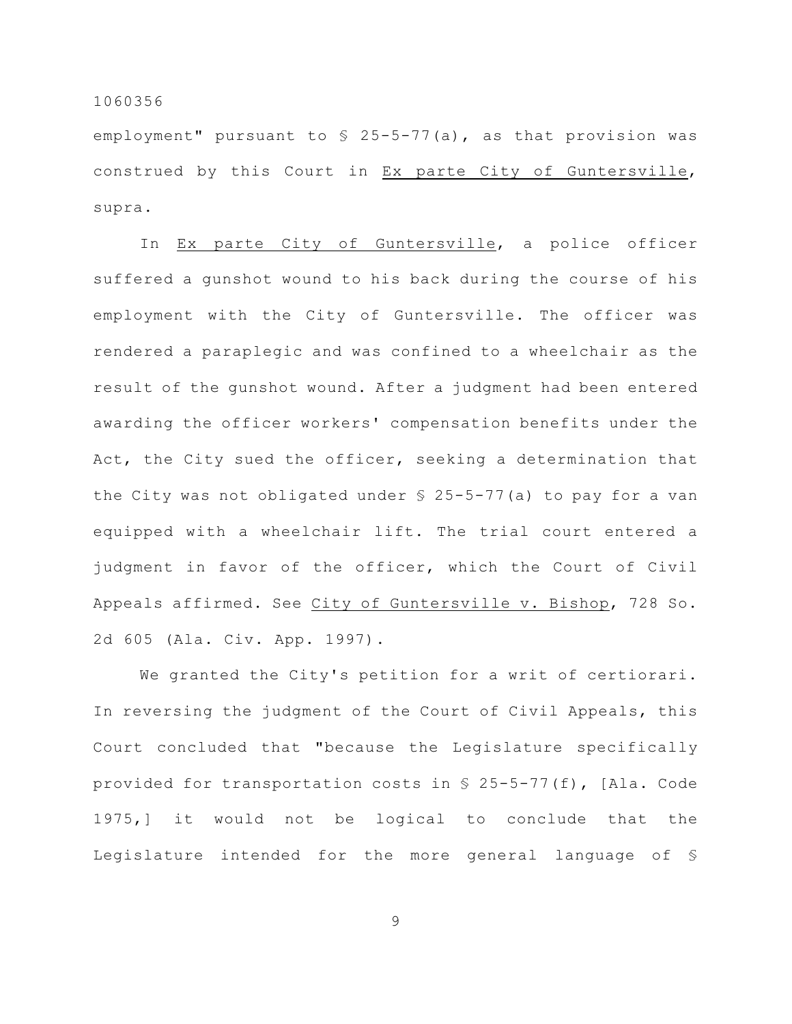employment" pursuant to  $\frac{1}{2}$  25-5-77(a), as that provision was construed by this Court in Ex parte City of Guntersville, supra.

In Ex parte City of Guntersville, a police officer suffered a gunshot wound to his back during the course of his employment with the City of Guntersville. The officer was rendered a paraplegic and was confined to a wheelchair as the result of the gunshot wound. After a judgment had been entered awarding the officer workers' compensation benefits under the Act, the City sued the officer, seeking a determination that the City was not obligated under § 25-5-77(a) to pay for a van equipped with a wheelchair lift. The trial court entered a judgment in favor of the officer, which the Court of Civil Appeals affirmed. See City of Guntersville v. Bishop, 728 So. 2d 605 (Ala. Civ. App. 1997).

We granted the City's petition for a writ of certiorari. In reversing the judgment of the Court of Civil Appeals, this Court concluded that "because the Legislature specifically provided for transportation costs in § 25-5-77(f), [Ala. Code 1975,] it would not be logical to conclude that the Legislature intended for the more general language of §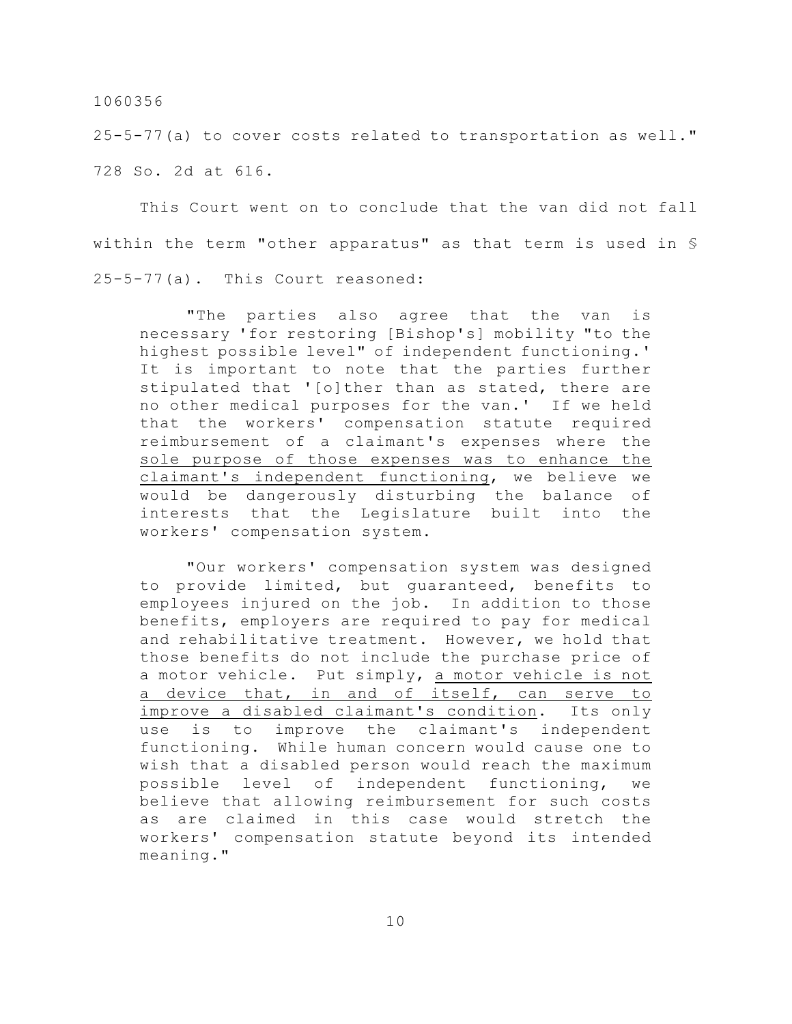25-5-77(a) to cover costs related to transportation as well." 728 So. 2d at 616.

This Court went on to conclude that the van did not fall within the term "other apparatus" as that term is used in § 25-5-77(a). This Court reasoned:

"The parties also agree that the van is necessary 'for restoring [Bishop's] mobility "to the highest possible level" of independent functioning.' It is important to note that the parties further stipulated that '[o]ther than as stated, there are no other medical purposes for the van.' If we held that the workers' compensation statute required reimbursement of a claimant's expenses where the sole purpose of those expenses was to enhance the claimant's independent functioning, we believe we would be dangerously disturbing the balance of interests that the Legislature built into the workers' compensation system.

"Our workers' compensation system was designed to provide limited, but guaranteed, benefits to employees injured on the job. In addition to those benefits, employers are required to pay for medical and rehabilitative treatment. However, we hold that those benefits do not include the purchase price of a motor vehicle. Put simply, a motor vehicle is not a device that, in and of itself, can serve to improve a disabled claimant's condition. Its only use is to improve the claimant's independent functioning. While human concern would cause one to wish that a disabled person would reach the maximum possible level of independent functioning, we believe that allowing reimbursement for such costs as are claimed in this case would stretch the workers' compensation statute beyond its intended meaning."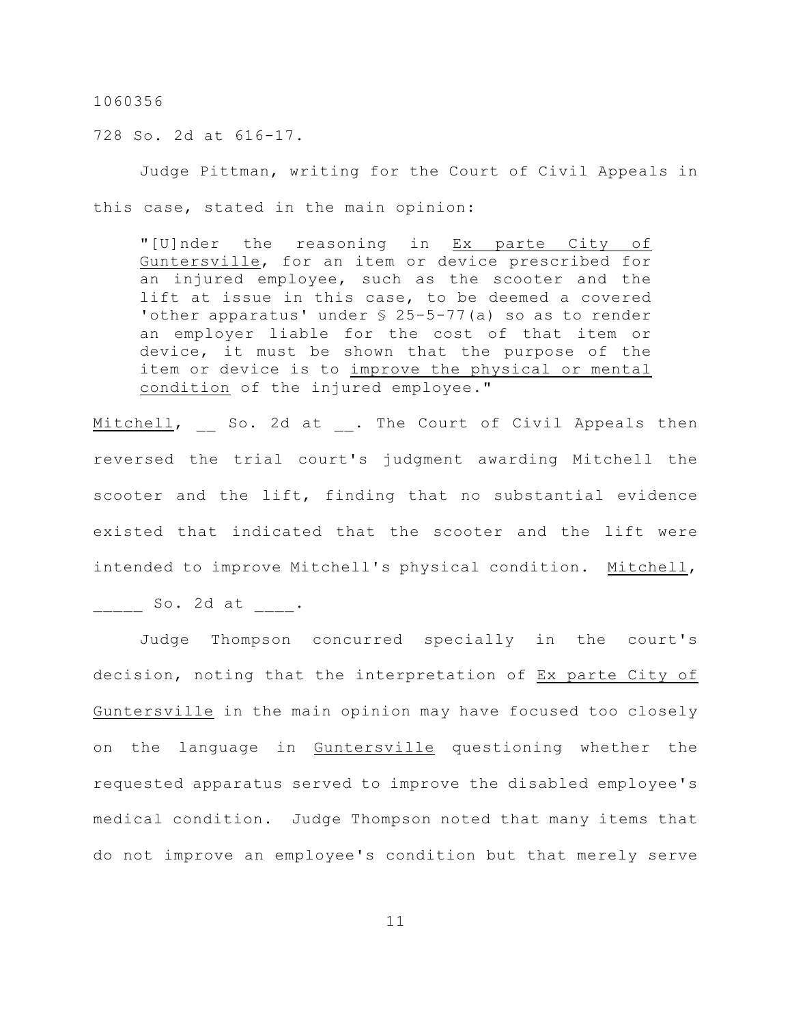728 So. 2d at 616-17.

Judge Pittman, writing for the Court of Civil Appeals in this case, stated in the main opinion:

"[U]nder the reasoning in Ex parte City of Guntersville, for an item or device prescribed for an injured employee, such as the scooter and the lift at issue in this case, to be deemed a covered 'other apparatus' under § 25-5-77(a) so as to render an employer liable for the cost of that item or device, it must be shown that the purpose of the item or device is to improve the physical or mental condition of the injured employee."

Mitchell, So. 2d at . The Court of Civil Appeals then reversed the trial court's judgment awarding Mitchell the scooter and the lift, finding that no substantial evidence existed that indicated that the scooter and the lift were intended to improve Mitchell's physical condition. Mitchell,

 $So. 2d at .$ 

Judge Thompson concurred specially in the court's decision, noting that the interpretation of Ex parte City of Guntersville in the main opinion may have focused too closely on the language in Guntersville questioning whether the requested apparatus served to improve the disabled employee's medical condition. Judge Thompson noted that many items that do not improve an employee's condition but that merely serve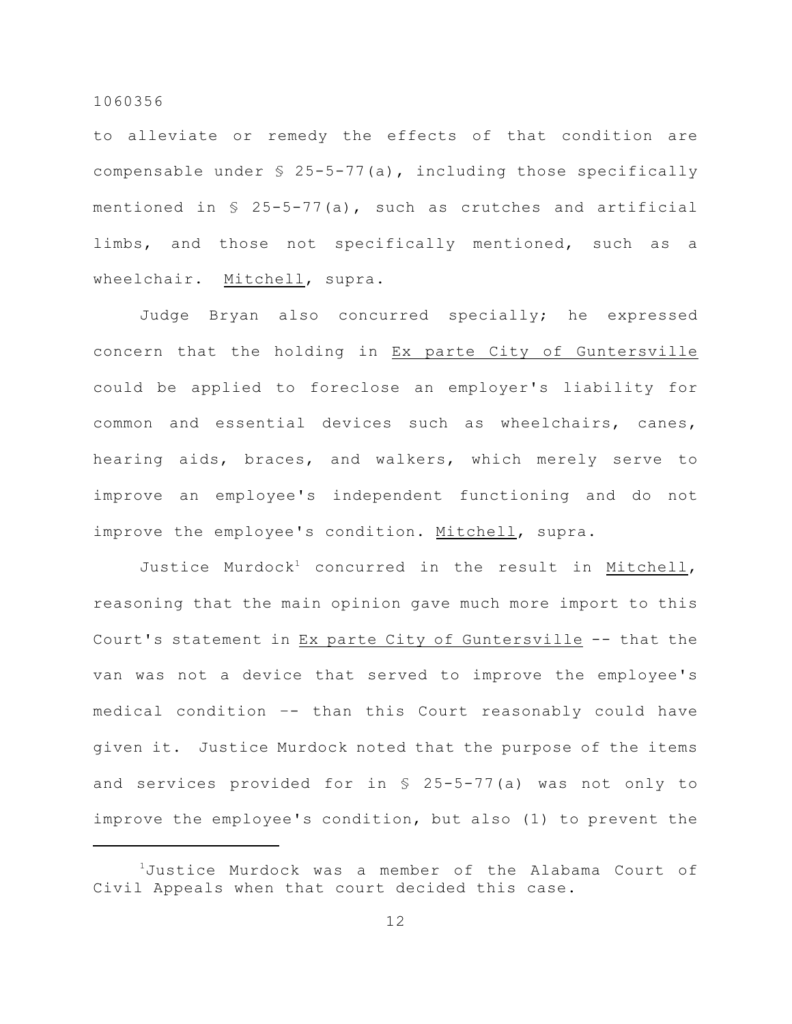to alleviate or remedy the effects of that condition are compensable under § 25-5-77(a), including those specifically mentioned in  $\frac{1}{5}$  25-5-77(a), such as crutches and artificial limbs, and those not specifically mentioned, such as a wheelchair. Mitchell, supra.

Judge Bryan also concurred specially; he expressed concern that the holding in Ex parte City of Guntersville could be applied to foreclose an employer's liability for common and essential devices such as wheelchairs, canes, hearing aids, braces, and walkers, which merely serve to improve an employee's independent functioning and do not improve the employee's condition. Mitchell, supra.

Justice Murdock<sup>1</sup> concurred in the result in Mitchell, reasoning that the main opinion gave much more import to this Court's statement in Ex parte City of Guntersville -- that the van was not a device that served to improve the employee's medical condition –- than this Court reasonably could have given it. Justice Murdock noted that the purpose of the items and services provided for in § 25-5-77(a) was not only to improve the employee's condition, but also (1) to prevent the

 $1$ Justice Murdock was a member of the Alabama Court of Civil Appeals when that court decided this case.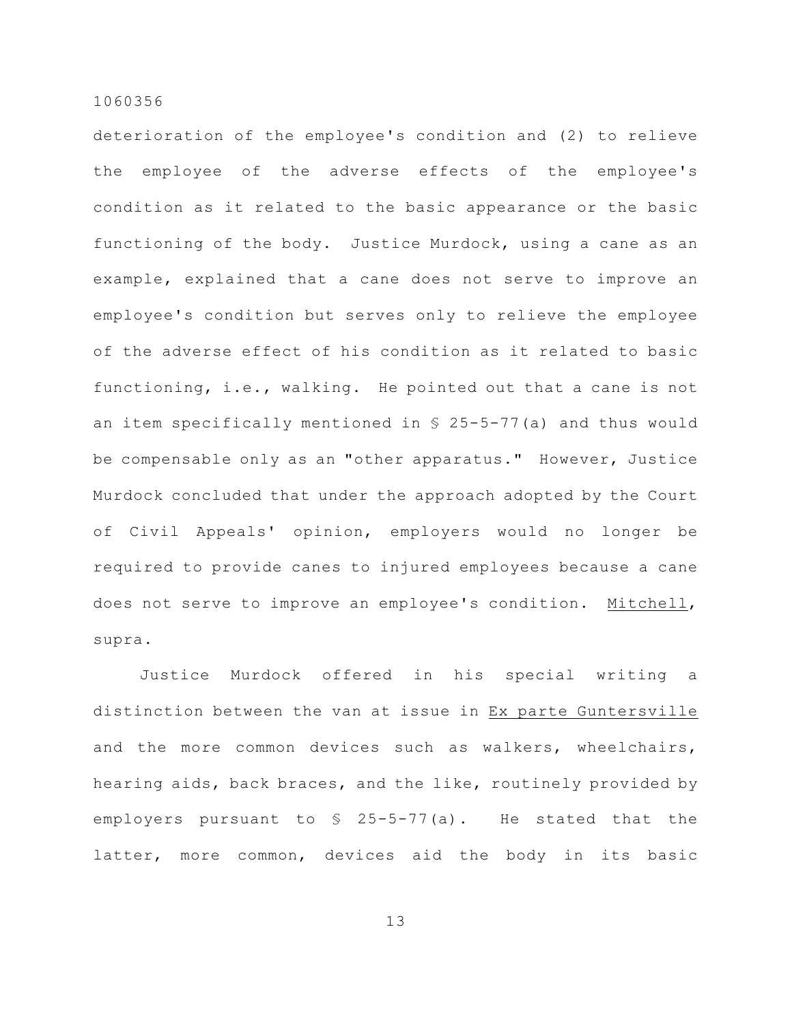deterioration of the employee's condition and (2) to relieve the employee of the adverse effects of the employee's condition as it related to the basic appearance or the basic functioning of the body. Justice Murdock, using a cane as an example, explained that a cane does not serve to improve an employee's condition but serves only to relieve the employee of the adverse effect of his condition as it related to basic functioning, i.e., walking. He pointed out that a cane is not an item specifically mentioned in § 25-5-77(a) and thus would be compensable only as an "other apparatus." However, Justice Murdock concluded that under the approach adopted by the Court of Civil Appeals' opinion, employers would no longer be required to provide canes to injured employees because a cane does not serve to improve an employee's condition. Mitchell, supra.

Justice Murdock offered in his special writing a distinction between the van at issue in Ex parte Guntersville and the more common devices such as walkers, wheelchairs, hearing aids, back braces, and the like, routinely provided by employers pursuant to § 25-5-77(a). He stated that the latter, more common, devices aid the body in its basic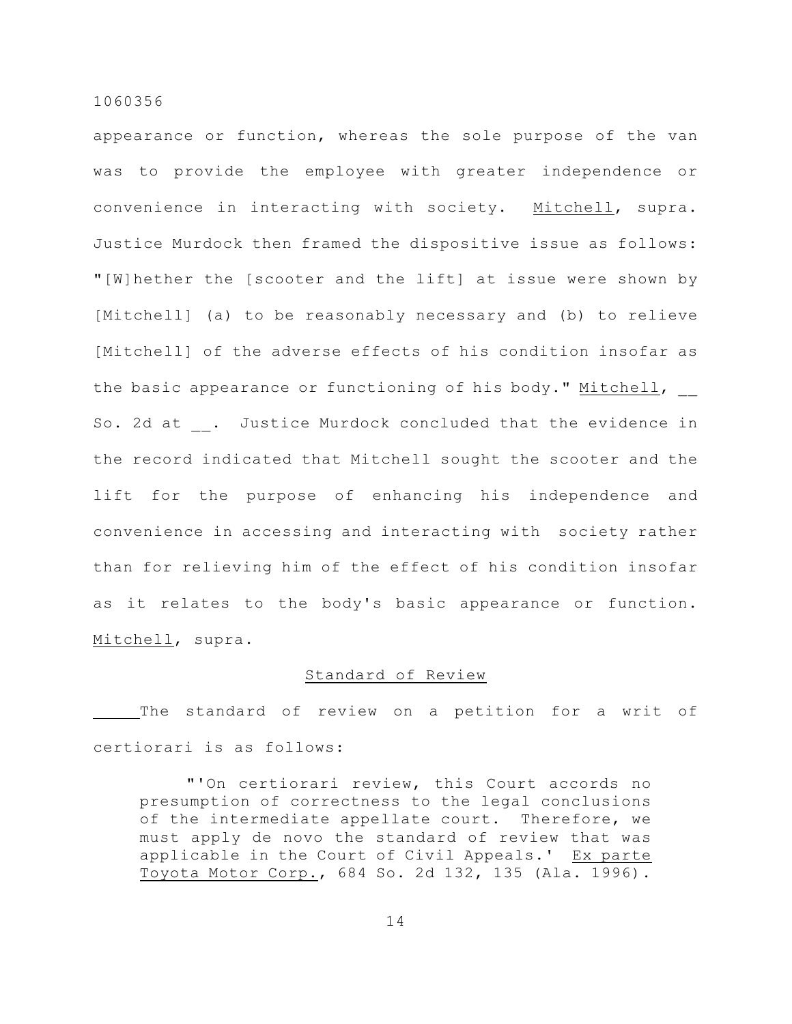appearance or function, whereas the sole purpose of the van was to provide the employee with greater independence or convenience in interacting with society. Mitchell, supra. Justice Murdock then framed the dispositive issue as follows: "[W]hether the [scooter and the lift] at issue were shown by [Mitchell] (a) to be reasonably necessary and (b) to relieve [Mitchell] of the adverse effects of his condition insofar as the basic appearance or functioning of his body." Mitchell, So. 2d at . Justice Murdock concluded that the evidence in the record indicated that Mitchell sought the scooter and the lift for the purpose of enhancing his independence and convenience in accessing and interacting with society rather than for relieving him of the effect of his condition insofar as it relates to the body's basic appearance or function. Mitchell, supra.

## Standard of Review

The standard of review on a petition for a writ of certiorari is as follows:

"'On certiorari review, this Court accords no presumption of correctness to the legal conclusions of the intermediate appellate court. Therefore, we must apply de novo the standard of review that was applicable in the Court of Civil Appeals.' Ex parte Toyota Motor Corp., 684 So. 2d 132, 135 (Ala. 1996).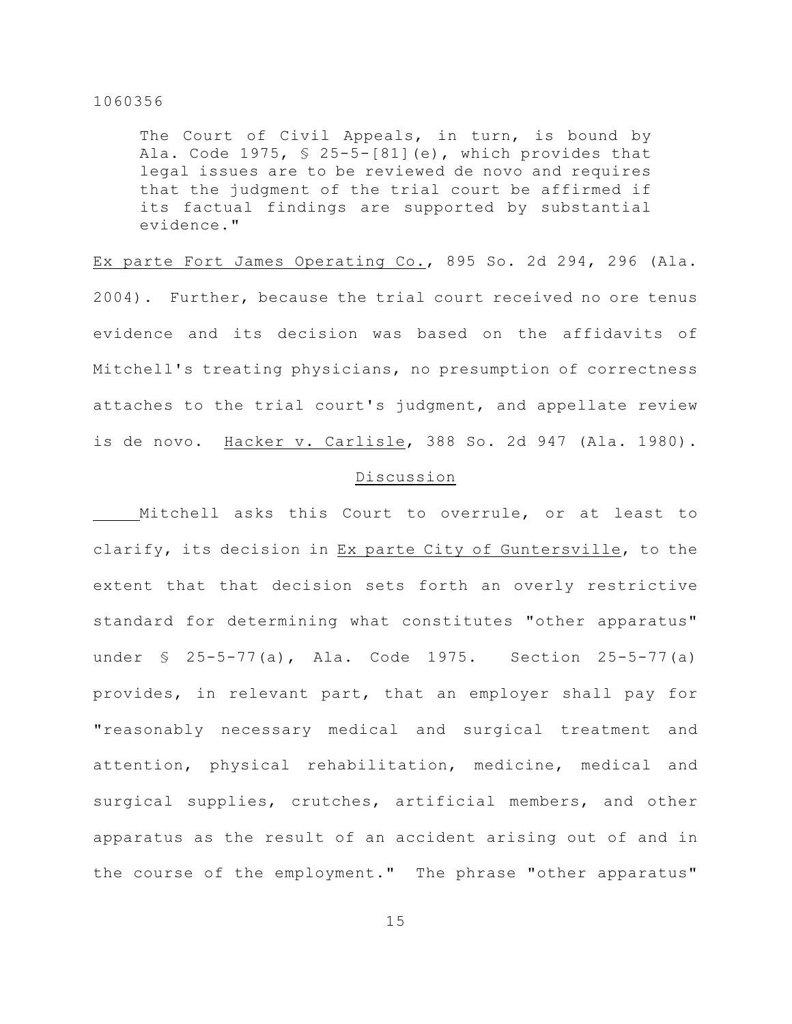The Court of Civil Appeals, in turn, is bound by Ala. Code  $1975$ ,  $\frac{1}{5}$  25-5-[81](e), which provides that legal issues are to be reviewed de novo and requires that the judgment of the trial court be affirmed if its factual findings are supported by substantial evidence."

Ex parte Fort James Operating Co., 895 So. 2d 294, 296 (Ala. 2004). Further, because the trial court received no ore tenus evidence and its decision was based on the affidavits of Mitchell's treating physicians, no presumption of correctness attaches to the trial court's judgment, and appellate review is de novo. Hacker v. Carlisle, 388 So. 2d 947 (Ala. 1980).

### Discussion

Mitchell asks this Court to overrule, or at least to clarify, its decision in Ex parte City of Guntersville, to the extent that that decision sets forth an overly restrictive standard for determining what constitutes "other apparatus" under § 25-5-77(a), Ala. Code 1975. Section 25-5-77(a) provides, in relevant part, that an employer shall pay for "reasonably necessary medical and surgical treatment and attention, physical rehabilitation, medicine, medical and surgical supplies, crutches, artificial members, and other apparatus as the result of an accident arising out of and in the course of the employment." The phrase "other apparatus"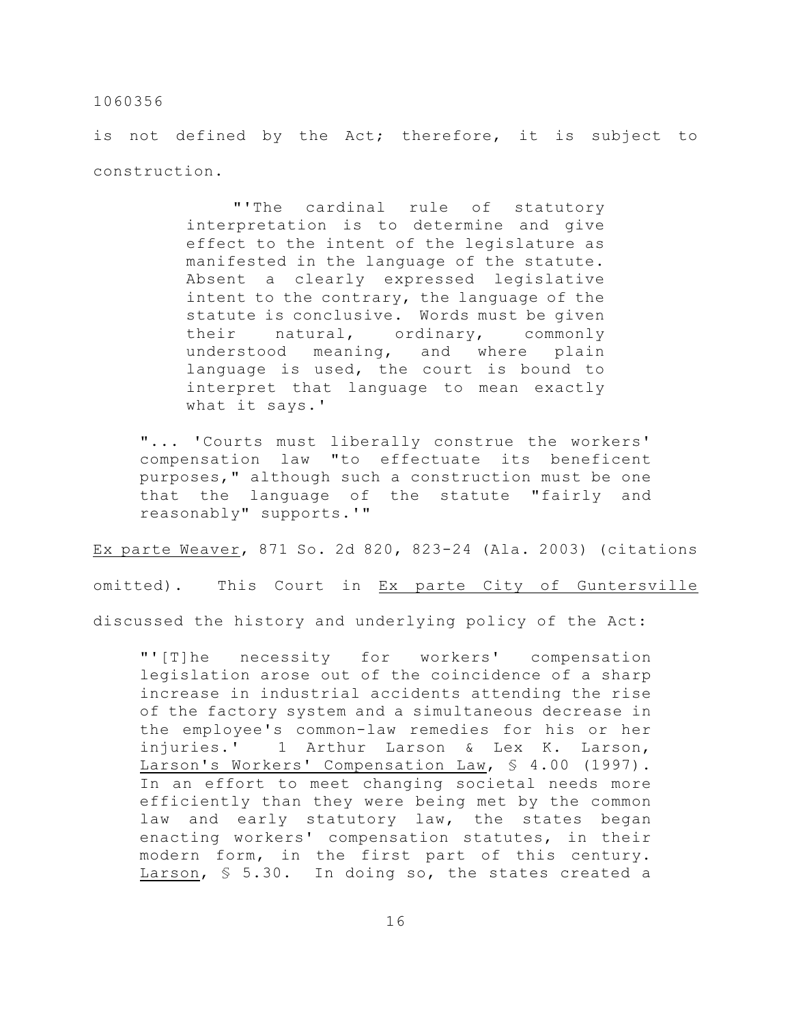is not defined by the Act; therefore, it is subject to construction.

> "'The cardinal rule of statutory interpretation is to determine and give effect to the intent of the legislature as manifested in the language of the statute. Absent a clearly expressed legislative intent to the contrary, the language of the statute is conclusive. Words must be given their natural, ordinary, commonly understood meaning, and where plain language is used, the court is bound to interpret that language to mean exactly what it says.'

"... 'Courts must liberally construe the workers' compensation law "to effectuate its beneficent purposes," although such a construction must be one that the language of the statute "fairly and reasonably" supports.'"

Ex parte Weaver, 871 So. 2d 820, 823-24 (Ala. 2003) (citations omitted). This Court in Ex parte City of Guntersville discussed the history and underlying policy of the Act:

"'[T]he necessity for workers' compensation legislation arose out of the coincidence of a sharp increase in industrial accidents attending the rise of the factory system and a simultaneous decrease in the employee's common-law remedies for his or her injuries.' 1 Arthur Larson & Lex K. Larson, Larson's Workers' Compensation Law, § 4.00 (1997). In an effort to meet changing societal needs more efficiently than they were being met by the common law and early statutory law, the states began enacting workers' compensation statutes, in their modern form, in the first part of this century. Larson, § 5.30. In doing so, the states created a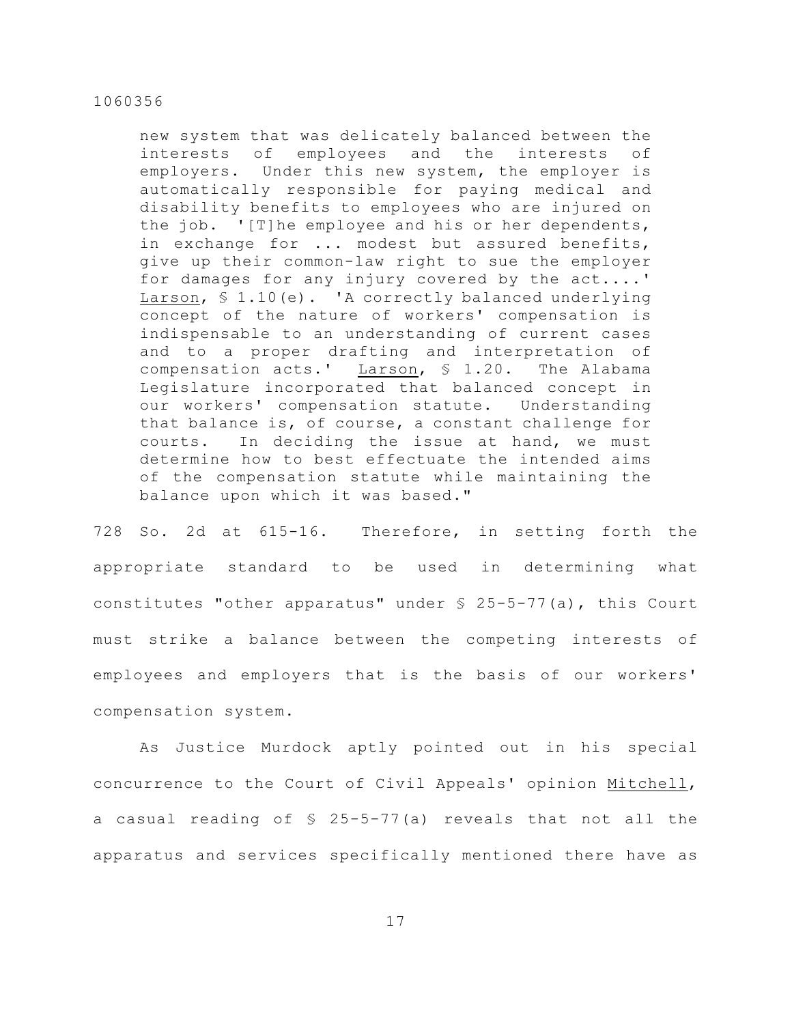new system that was delicately balanced between the interests of employees and the interests of employers. Under this new system, the employer is automatically responsible for paying medical and disability benefits to employees who are injured on the job. '[T]he employee and his or her dependents, in exchange for ... modest but assured benefits, give up their common-law right to sue the employer for damages for any injury covered by the act....' Larson, § 1.10(e). 'A correctly balanced underlying concept of the nature of workers' compensation is indispensable to an understanding of current cases and to a proper drafting and interpretation of compensation acts.' Larson, § 1.20. The Alabama Legislature incorporated that balanced concept in our workers' compensation statute. Understanding that balance is, of course, a constant challenge for courts. In deciding the issue at hand, we must determine how to best effectuate the intended aims of the compensation statute while maintaining the balance upon which it was based."

728 So. 2d at 615-16. Therefore, in setting forth the appropriate standard to be used in determining what constitutes "other apparatus" under § 25-5-77(a), this Court must strike a balance between the competing interests of employees and employers that is the basis of our workers' compensation system.

As Justice Murdock aptly pointed out in his special concurrence to the Court of Civil Appeals' opinion Mitchell, a casual reading of § 25-5-77(a) reveals that not all the apparatus and services specifically mentioned there have as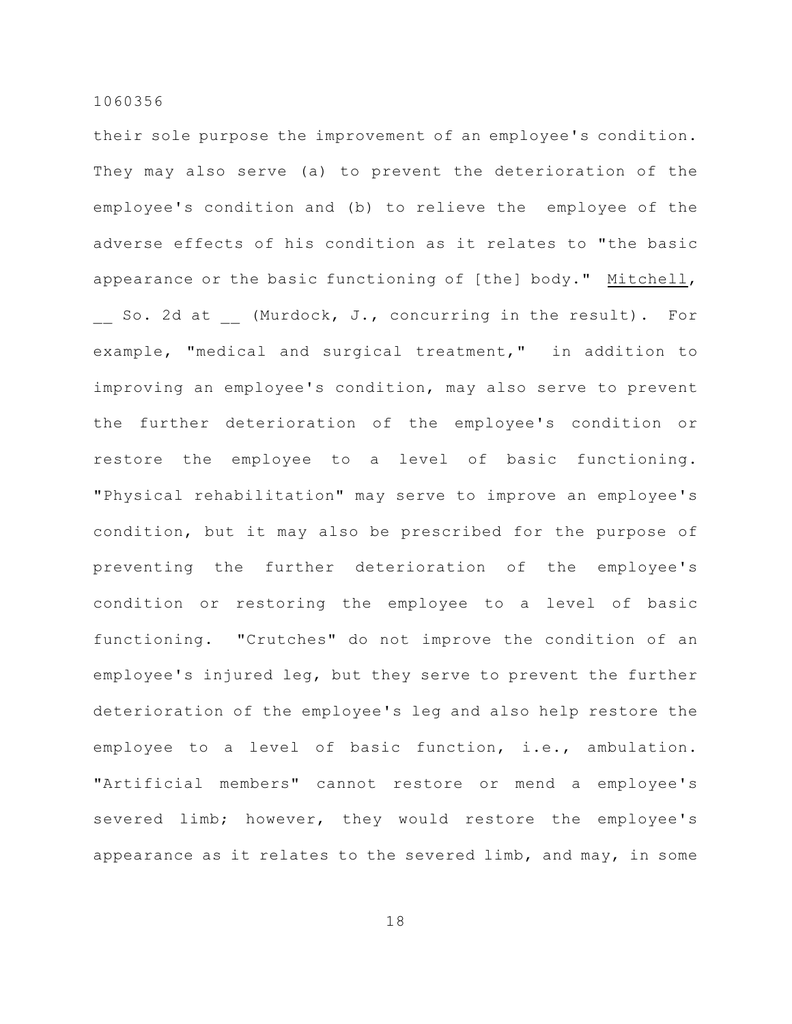their sole purpose the improvement of an employee's condition. They may also serve (a) to prevent the deterioration of the employee's condition and (b) to relieve the employee of the adverse effects of his condition as it relates to "the basic appearance or the basic functioning of [the] body." Mitchell, So. 2d at (Murdock, J., concurring in the result). For example, "medical and surgical treatment," in addition to improving an employee's condition, may also serve to prevent the further deterioration of the employee's condition or restore the employee to a level of basic functioning. "Physical rehabilitation" may serve to improve an employee's condition, but it may also be prescribed for the purpose of preventing the further deterioration of the employee's condition or restoring the employee to a level of basic functioning. "Crutches" do not improve the condition of an employee's injured leg, but they serve to prevent the further deterioration of the employee's leg and also help restore the employee to a level of basic function, i.e., ambulation. "Artificial members" cannot restore or mend a employee's severed limb; however, they would restore the employee's appearance as it relates to the severed limb, and may, in some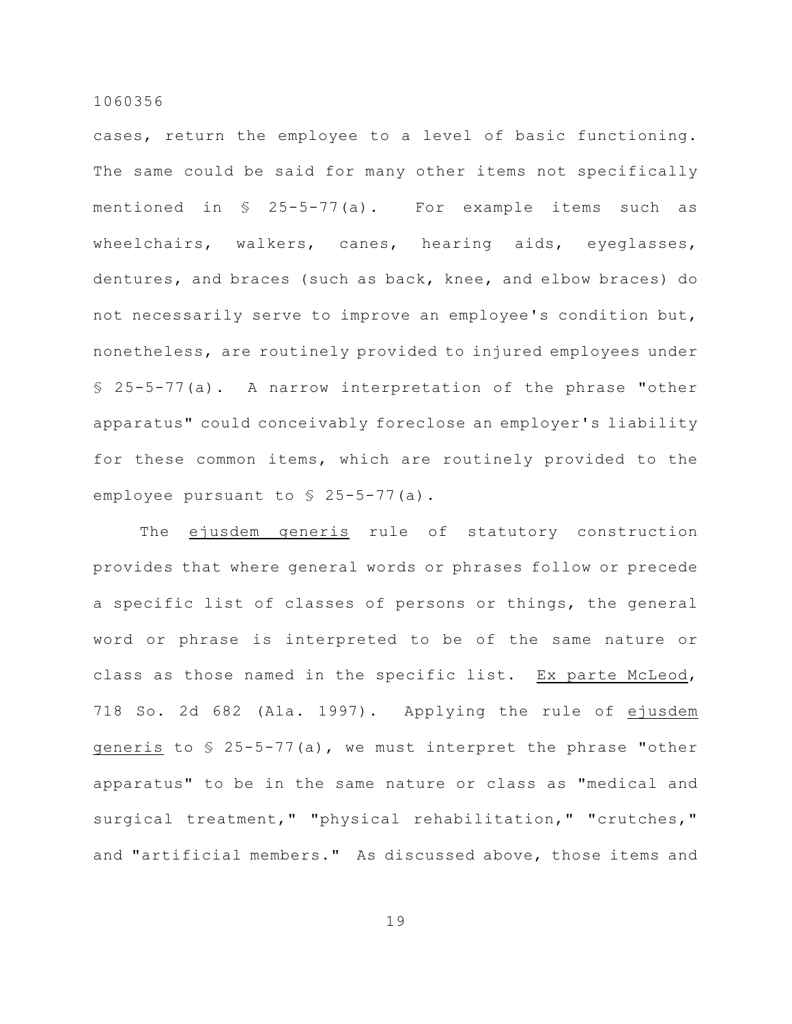cases, return the employee to a level of basic functioning. The same could be said for many other items not specifically mentioned in § 25-5-77(a). For example items such as wheelchairs, walkers, canes, hearing aids, eyeglasses, dentures, and braces (such as back, knee, and elbow braces) do not necessarily serve to improve an employee's condition but, nonetheless, are routinely provided to injured employees under § 25-5-77(a). A narrow interpretation of the phrase "other apparatus" could conceivably foreclose an employer's liability for these common items, which are routinely provided to the employee pursuant to § 25-5-77(a).

The ejusdem generis rule of statutory construction provides that where general words or phrases follow or precede a specific list of classes of persons or things, the general word or phrase is interpreted to be of the same nature or class as those named in the specific list. Ex parte McLeod, 718 So. 2d 682 (Ala. 1997). Applying the rule of ejusdem generis to  $\frac{1}{2}$  25-5-77(a), we must interpret the phrase "other apparatus" to be in the same nature or class as "medical and surgical treatment," "physical rehabilitation," "crutches," and "artificial members." As discussed above, those items and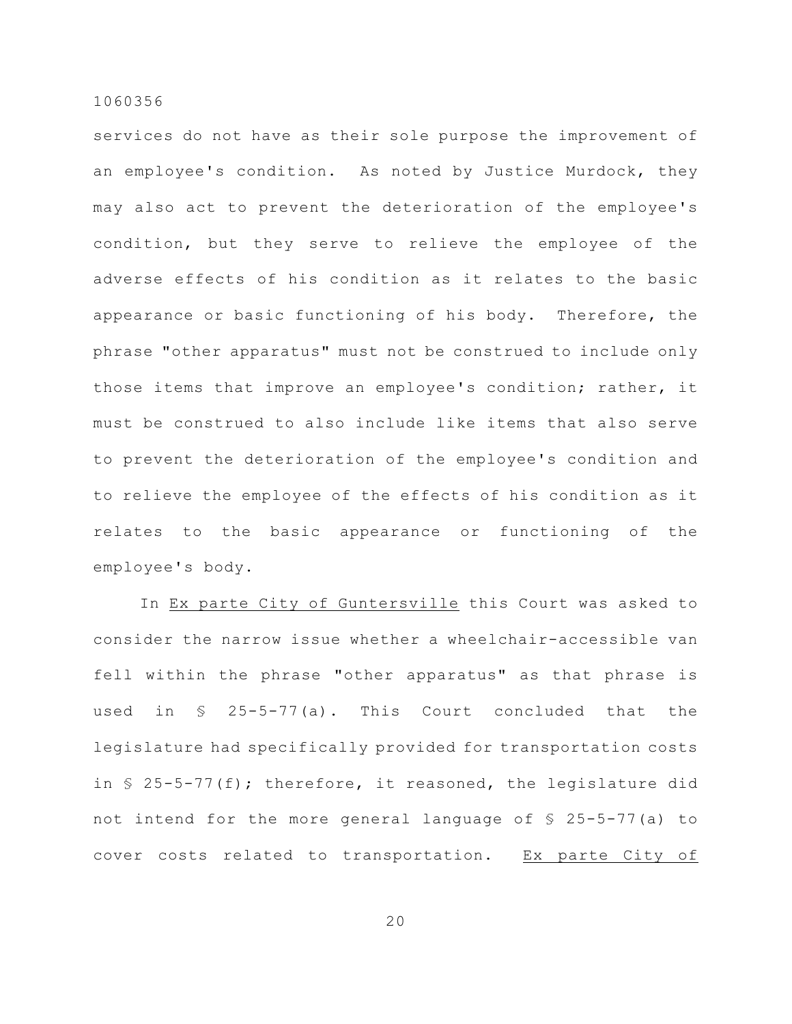services do not have as their sole purpose the improvement of an employee's condition. As noted by Justice Murdock, they may also act to prevent the deterioration of the employee's condition, but they serve to relieve the employee of the adverse effects of his condition as it relates to the basic appearance or basic functioning of his body. Therefore, the phrase "other apparatus" must not be construed to include only those items that improve an employee's condition; rather, it must be construed to also include like items that also serve to prevent the deterioration of the employee's condition and to relieve the employee of the effects of his condition as it relates to the basic appearance or functioning of the employee's body.

In Ex parte City of Guntersville this Court was asked to consider the narrow issue whether a wheelchair-accessible van fell within the phrase "other apparatus" as that phrase is used in § 25-5-77(a). This Court concluded that the legislature had specifically provided for transportation costs in  $\S$  25-5-77(f); therefore, it reasoned, the legislature did not intend for the more general language of § 25-5-77(a) to cover costs related to transportation. Ex parte City of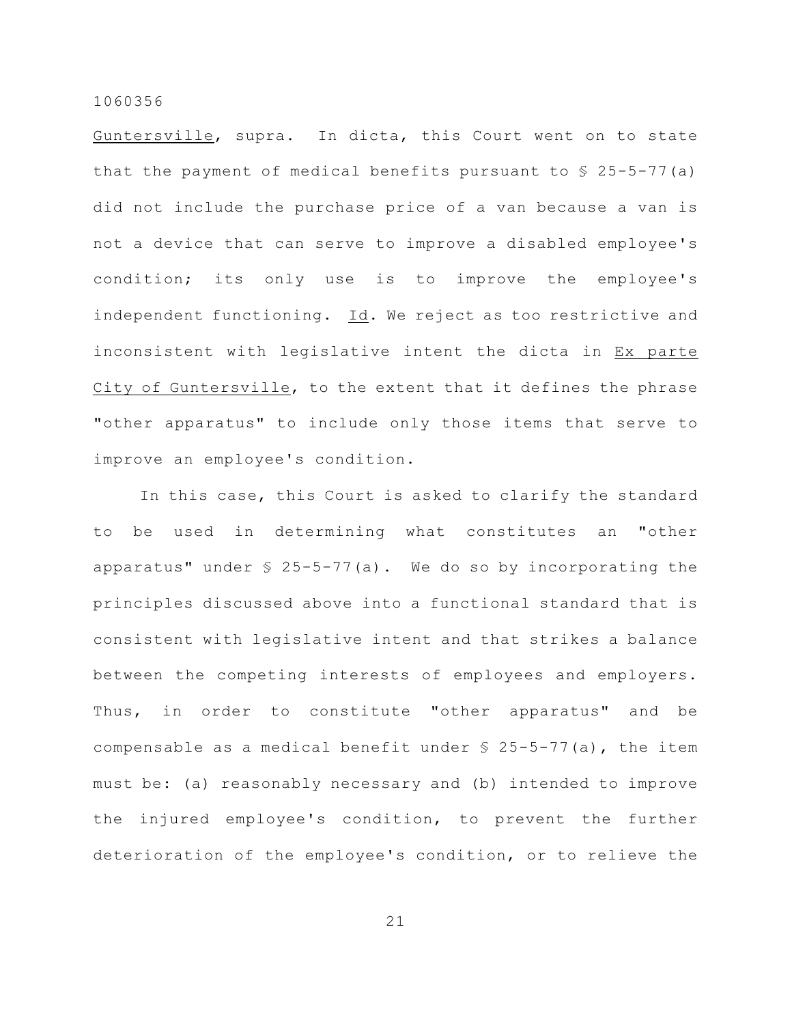Guntersville, supra. In dicta, this Court went on to state that the payment of medical benefits pursuant to  $\S$  25-5-77(a) did not include the purchase price of a van because a van is not a device that can serve to improve a disabled employee's condition; its only use is to improve the employee's independent functioning. Id. We reject as too restrictive and inconsistent with legislative intent the dicta in Ex parte City of Guntersville, to the extent that it defines the phrase "other apparatus" to include only those items that serve to improve an employee's condition.

In this case, this Court is asked to clarify the standard to be used in determining what constitutes an "other apparatus" under  $$ 25-5-77(a)$ . We do so by incorporating the principles discussed above into a functional standard that is consistent with legislative intent and that strikes a balance between the competing interests of employees and employers. Thus, in order to constitute "other apparatus" and be compensable as a medical benefit under  $$ 25-5-77$  (a), the item must be: (a) reasonably necessary and (b) intended to improve the injured employee's condition, to prevent the further deterioration of the employee's condition, or to relieve the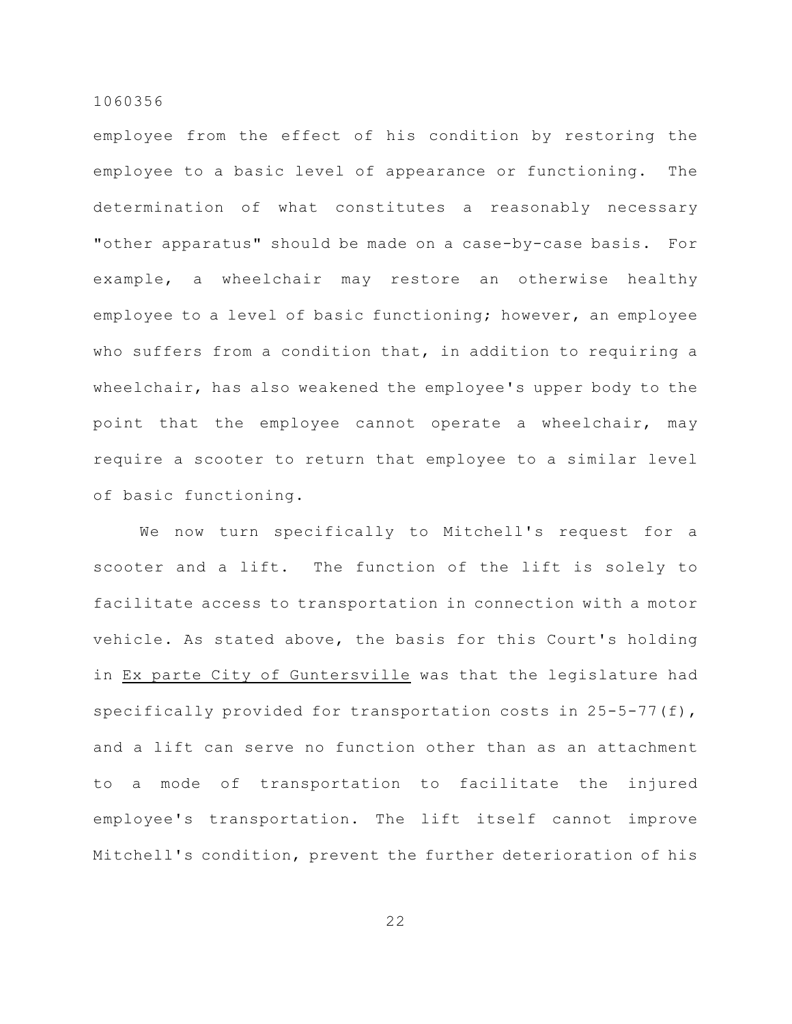employee from the effect of his condition by restoring the employee to a basic level of appearance or functioning. The determination of what constitutes a reasonably necessary "other apparatus" should be made on a case-by-case basis. For example, a wheelchair may restore an otherwise healthy employee to a level of basic functioning; however, an employee who suffers from a condition that, in addition to requiring a wheelchair, has also weakened the employee's upper body to the point that the employee cannot operate a wheelchair, may require a scooter to return that employee to a similar level of basic functioning.

We now turn specifically to Mitchell's request for a scooter and a lift. The function of the lift is solely to facilitate access to transportation in connection with a motor vehicle. As stated above, the basis for this Court's holding in Ex parte City of Guntersville was that the legislature had specifically provided for transportation costs in 25-5-77(f), and a lift can serve no function other than as an attachment to a mode of transportation to facilitate the injured employee's transportation. The lift itself cannot improve Mitchell's condition, prevent the further deterioration of his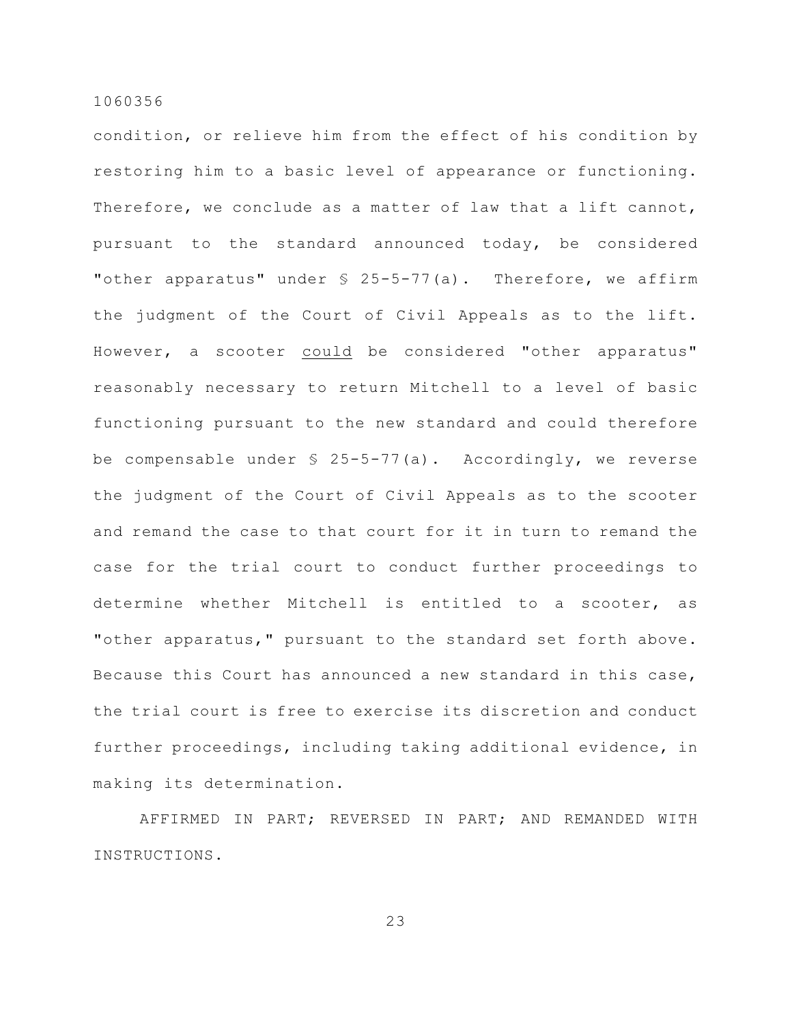condition, or relieve him from the effect of his condition by restoring him to a basic level of appearance or functioning. Therefore, we conclude as a matter of law that a lift cannot, pursuant to the standard announced today, be considered "other apparatus" under § 25-5-77(a). Therefore, we affirm the judgment of the Court of Civil Appeals as to the lift. However, a scooter could be considered "other apparatus" reasonably necessary to return Mitchell to a level of basic functioning pursuant to the new standard and could therefore be compensable under  $\frac{1}{2}$  25-5-77(a). Accordingly, we reverse the judgment of the Court of Civil Appeals as to the scooter and remand the case to that court for it in turn to remand the case for the trial court to conduct further proceedings to determine whether Mitchell is entitled to a scooter, as "other apparatus," pursuant to the standard set forth above. Because this Court has announced a new standard in this case, the trial court is free to exercise its discretion and conduct further proceedings, including taking additional evidence, in making its determination.

AFFIRMED IN PART; REVERSED IN PART; AND REMANDED WITH INSTRUCTIONS.